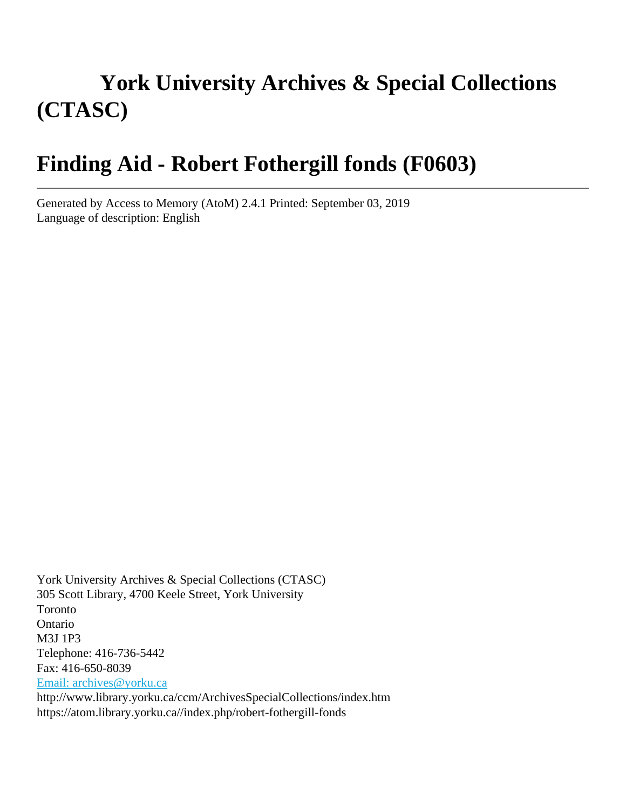# **York University Archives & Special Collections (CTASC)**

# **Finding Aid - Robert Fothergill fonds (F0603)**

Generated by Access to Memory (AtoM) 2.4.1 Printed: September 03, 2019 Language of description: English

York University Archives & Special Collections (CTASC) 305 Scott Library, 4700 Keele Street, York University Toronto Ontario M3J 1P3 Telephone: 416-736-5442 Fax: 416-650-8039 [Email: archives@yorku.ca](mailto:Email: archives@yorku.ca) http://www.library.yorku.ca/ccm/ArchivesSpecialCollections/index.htm https://atom.library.yorku.ca//index.php/robert-fothergill-fonds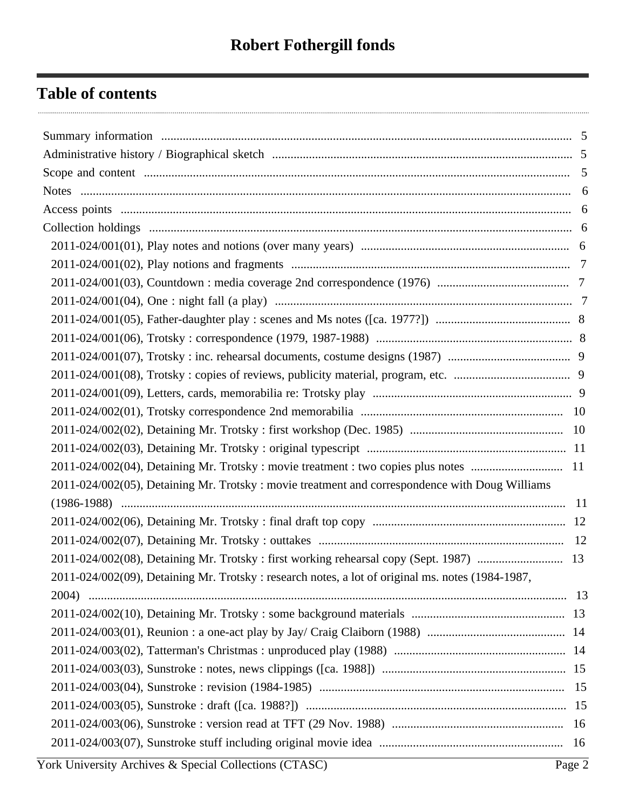## **Table of contents**

| 2011-024/002(05), Detaining Mr. Trotsky: movie treatment and correspondence with Doug Williams    |  |  |
|---------------------------------------------------------------------------------------------------|--|--|
|                                                                                                   |  |  |
|                                                                                                   |  |  |
|                                                                                                   |  |  |
| 2011-024/002(08), Detaining Mr. Trotsky: first working rehearsal copy (Sept. 1987)  13            |  |  |
| 2011-024/002(09), Detaining Mr. Trotsky : research notes, a lot of original ms. notes (1984-1987, |  |  |
|                                                                                                   |  |  |
|                                                                                                   |  |  |
|                                                                                                   |  |  |
|                                                                                                   |  |  |
|                                                                                                   |  |  |
|                                                                                                   |  |  |
|                                                                                                   |  |  |
|                                                                                                   |  |  |
|                                                                                                   |  |  |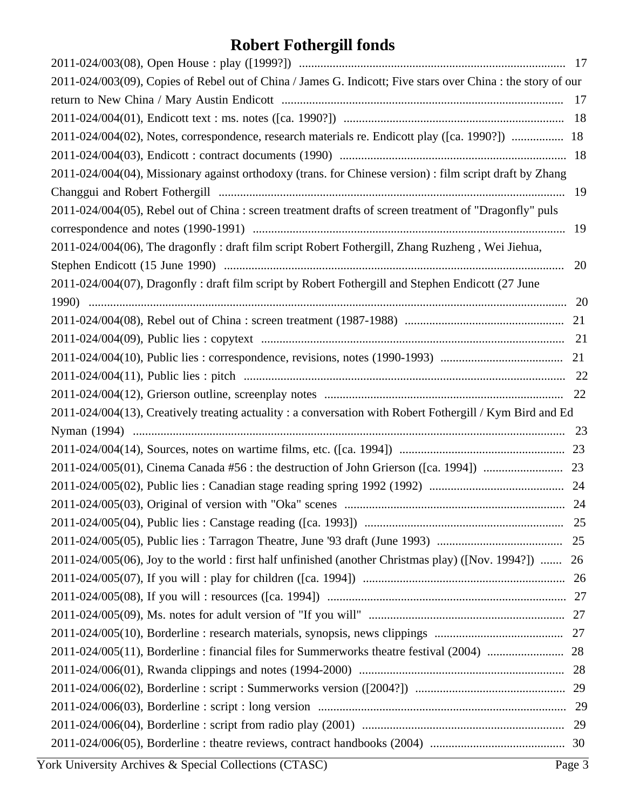# **Robert Fothergill fonds**

| 2011-024/003(09), Copies of Rebel out of China / James G. Indicott; Five stars over China : the story of our |    |
|--------------------------------------------------------------------------------------------------------------|----|
|                                                                                                              |    |
|                                                                                                              |    |
| 2011-024/004(02), Notes, correspondence, research materials re. Endicott play ([ca. 1990?])  18              |    |
|                                                                                                              |    |
| 2011-024/004(04), Missionary against orthodoxy (trans. for Chinese version) : film script draft by Zhang     |    |
|                                                                                                              |    |
| 2011-024/004(05), Rebel out of China : screen treatment drafts of screen treatment of "Dragonfly" puls       |    |
|                                                                                                              | 19 |
| 2011-024/004(06), The dragonfly: draft film script Robert Fothergill, Zhang Ruzheng, Wei Jiehua,             |    |
|                                                                                                              | 20 |
| 2011-024/004(07), Dragonfly: draft film script by Robert Fothergill and Stephen Endicott (27 June            |    |
|                                                                                                              |    |
|                                                                                                              | 21 |
|                                                                                                              |    |
|                                                                                                              |    |
|                                                                                                              |    |
|                                                                                                              |    |
|                                                                                                              |    |
| 2011-024/004(13), Creatively treating actuality: a conversation with Robert Fothergill / Kym Bird and Ed     |    |
|                                                                                                              |    |
|                                                                                                              |    |
|                                                                                                              |    |
|                                                                                                              |    |
|                                                                                                              |    |
|                                                                                                              |    |
|                                                                                                              |    |
| 2011-024/005(06), Joy to the world: first half unfinished (another Christmas play) ([Nov. 1994?])  26        |    |
|                                                                                                              |    |
|                                                                                                              |    |
|                                                                                                              |    |
|                                                                                                              |    |
|                                                                                                              |    |
|                                                                                                              |    |
|                                                                                                              |    |
|                                                                                                              |    |
|                                                                                                              | 29 |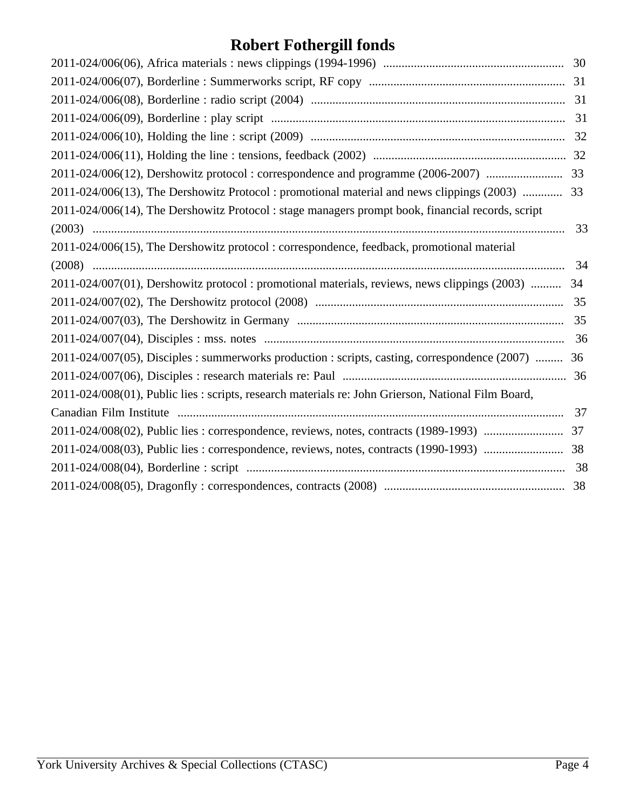## **Robert Fothergill fonds**

| 2011-024/006(12), Dershowitz protocol : correspondence and programme (2006-2007)  33                |    |
|-----------------------------------------------------------------------------------------------------|----|
| 2011-024/006(13), The Dershowitz Protocol: promotional material and news clippings (2003)  33       |    |
| 2011-024/006(14), The Dershowitz Protocol: stage managers prompt book, financial records, script    |    |
|                                                                                                     | 33 |
| 2011-024/006(15), The Dershowitz protocol: correspondence, feedback, promotional material           |    |
|                                                                                                     | 34 |
| 2011-024/007(01), Dershowitz protocol: promotional materials, reviews, news clippings (2003)  34    |    |
|                                                                                                     |    |
|                                                                                                     |    |
|                                                                                                     |    |
| 2011-024/007(05), Disciples : summerworks production : scripts, casting, correspondence (2007)  36  |    |
|                                                                                                     |    |
| 2011-024/008(01), Public lies : scripts, research materials re: John Grierson, National Film Board, |    |
|                                                                                                     | 37 |
|                                                                                                     |    |
|                                                                                                     |    |
|                                                                                                     |    |
|                                                                                                     |    |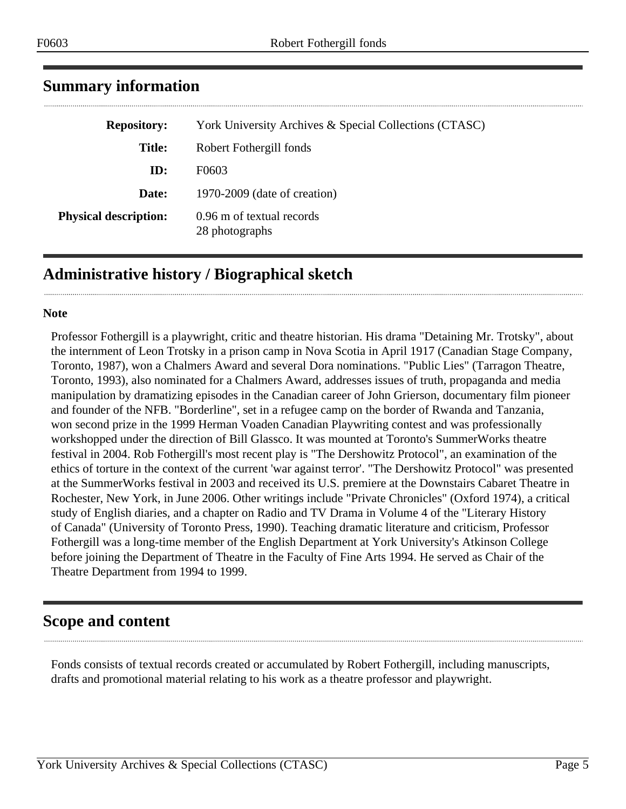| <b>Repository:</b>           | York University Archives & Special Collections (CTASC) |
|------------------------------|--------------------------------------------------------|
| <b>Title:</b>                | Robert Fothergill fonds                                |
| ID:                          | F0603                                                  |
| Date:                        | 1970-2009 (date of creation)                           |
| <b>Physical description:</b> | 0.96 m of textual records<br>28 photographs            |

## <span id="page-4-0"></span>**Summary information**

## <span id="page-4-1"></span>**Administrative history / Biographical sketch**

#### **Note**

Professor Fothergill is a playwright, critic and theatre historian. His drama "Detaining Mr. Trotsky", about the internment of Leon Trotsky in a prison camp in Nova Scotia in April 1917 (Canadian Stage Company, Toronto, 1987), won a Chalmers Award and several Dora nominations. "Public Lies" (Tarragon Theatre, Toronto, 1993), also nominated for a Chalmers Award, addresses issues of truth, propaganda and media manipulation by dramatizing episodes in the Canadian career of John Grierson, documentary film pioneer and founder of the NFB. "Borderline", set in a refugee camp on the border of Rwanda and Tanzania, won second prize in the 1999 Herman Voaden Canadian Playwriting contest and was professionally workshopped under the direction of Bill Glassco. It was mounted at Toronto's SummerWorks theatre festival in 2004. Rob Fothergill's most recent play is "The Dershowitz Protocol", an examination of the ethics of torture in the context of the current 'war against terror'. "The Dershowitz Protocol" was presented at the SummerWorks festival in 2003 and received its U.S. premiere at the Downstairs Cabaret Theatre in Rochester, New York, in June 2006. Other writings include "Private Chronicles" (Oxford 1974), a critical study of English diaries, and a chapter on Radio and TV Drama in Volume 4 of the "Literary History of Canada" (University of Toronto Press, 1990). Teaching dramatic literature and criticism, Professor Fothergill was a long-time member of the English Department at York University's Atkinson College before joining the Department of Theatre in the Faculty of Fine Arts 1994. He served as Chair of the Theatre Department from 1994 to 1999.

## <span id="page-4-2"></span>**Scope and content**

Fonds consists of textual records created or accumulated by Robert Fothergill, including manuscripts, drafts and promotional material relating to his work as a theatre professor and playwright.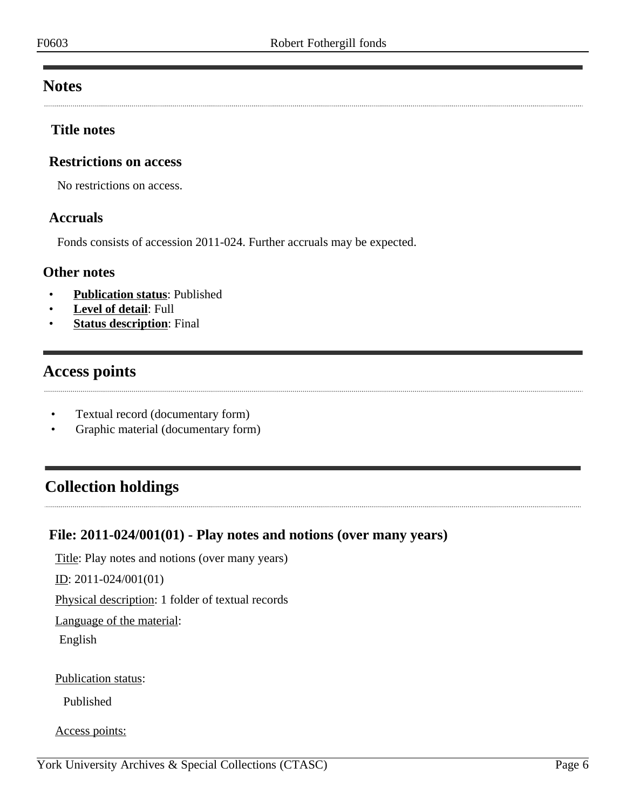## <span id="page-5-0"></span>**Notes**

### **Title notes**

## **Restrictions on access**

No restrictions on access.

#### **Accruals**

Fonds consists of accession 2011-024. Further accruals may be expected.

### **Other notes**

- **Publication status**: Published
- **Level of detail**: Full
- **Status description:** Final

## <span id="page-5-1"></span>**Access points**

- Textual record (documentary form)
- Graphic material (documentary form)

## <span id="page-5-2"></span>**Collection holdings**

## <span id="page-5-3"></span>**File: 2011-024/001(01) - Play notes and notions (over many years)**

Title: Play notes and notions (over many years)

ID: 2011-024/001(01)

Physical description: 1 folder of textual records

Language of the material:

English

Publication status:

Published

Access points: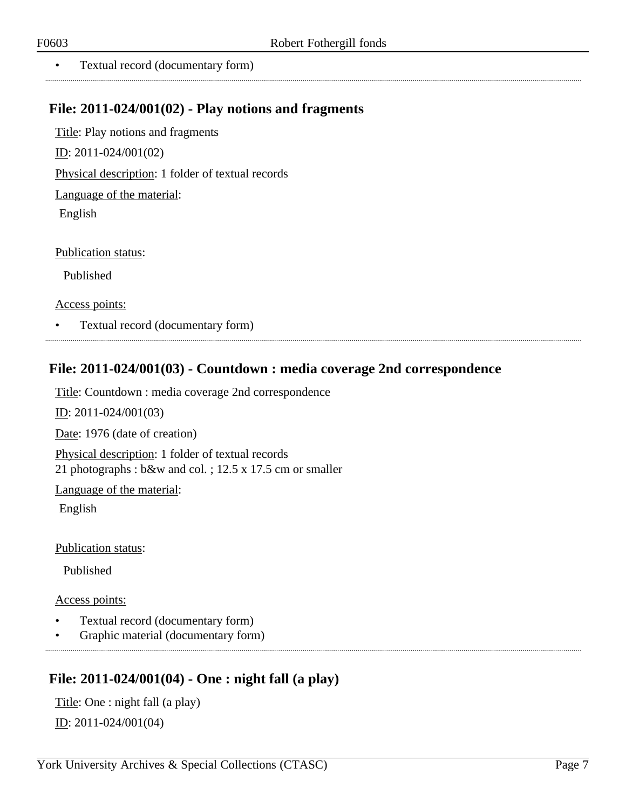• Textual record (documentary form)

## <span id="page-6-0"></span>**File: 2011-024/001(02) - Play notions and fragments**

Title: Play notions and fragments ID: 2011-024/001(02) Physical description: 1 folder of textual records Language of the material:

English

Publication status:

Published

Access points:

• Textual record (documentary form)

## <span id="page-6-1"></span>**File: 2011-024/001(03) - Countdown : media coverage 2nd correspondence**

Title: Countdown : media coverage 2nd correspondence

ID: 2011-024/001(03)

Date: 1976 (date of creation)

Physical description: 1 folder of textual records 21 photographs : b&w and col. ; 12.5 x 17.5 cm or smaller

Language of the material:

English

Publication status:

Published

Access points:

- Textual record (documentary form)
- Graphic material (documentary form)

## <span id="page-6-2"></span>**File: 2011-024/001(04) - One : night fall (a play)**

Title: One : night fall (a play) ID: 2011-024/001(04)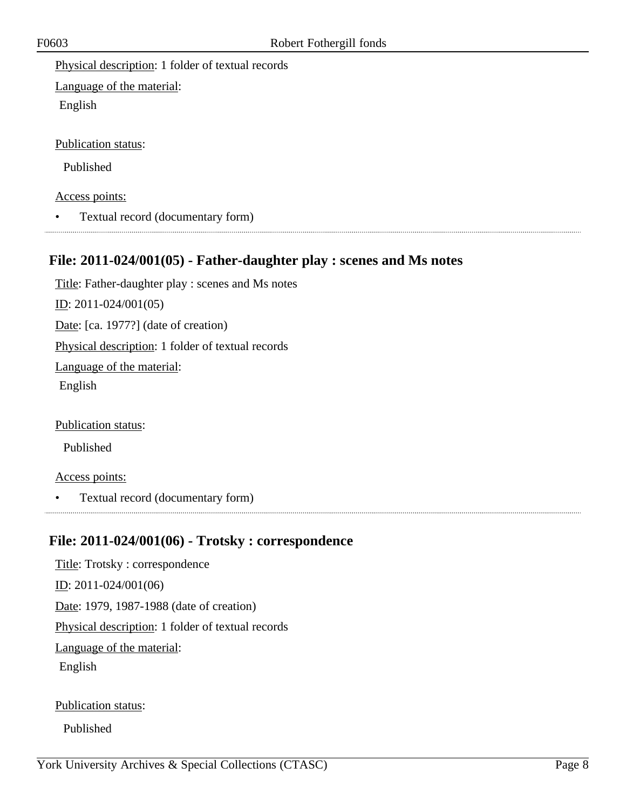Physical description: 1 folder of textual records

Language of the material:

English

Publication status:

Published

#### Access points:

• Textual record (documentary form)

## <span id="page-7-0"></span>**File: 2011-024/001(05) - Father-daughter play : scenes and Ms notes**

Title: Father-daughter play : scenes and Ms notes ID: 2011-024/001(05) Date: [ca. 1977?] (date of creation) Physical description: 1 folder of textual records Language of the material: English

Publication status:

Published

#### Access points:

• Textual record (documentary form)

## <span id="page-7-1"></span>**File: 2011-024/001(06) - Trotsky : correspondence**

Title: Trotsky : correspondence ID: 2011-024/001(06) Date: 1979, 1987-1988 (date of creation) Physical description: 1 folder of textual records Language of the material: English

Publication status:

Published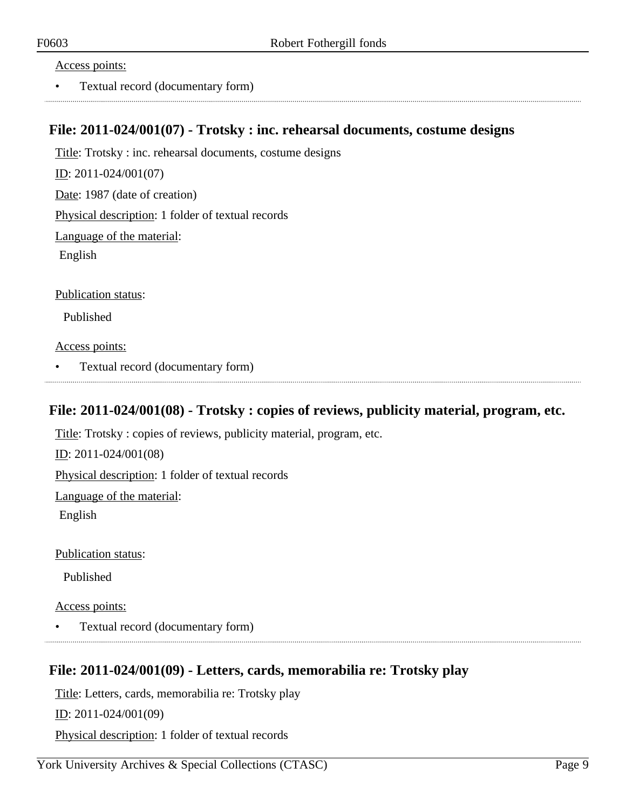Access points:

• Textual record (documentary form)

### <span id="page-8-0"></span>**File: 2011-024/001(07) - Trotsky : inc. rehearsal documents, costume designs**

Title: Trotsky : inc. rehearsal documents, costume designs ID: 2011-024/001(07) Date: 1987 (date of creation) Physical description: 1 folder of textual records Language of the material: English

Publication status:

Published

Access points:

• Textual record (documentary form)

## <span id="page-8-1"></span>**File: 2011-024/001(08) - Trotsky : copies of reviews, publicity material, program, etc.**

Title: Trotsky : copies of reviews, publicity material, program, etc.

ID: 2011-024/001(08)

Physical description: 1 folder of textual records

Language of the material:

English

Publication status:

Published

Access points:

• Textual record (documentary form)

## <span id="page-8-2"></span>**File: 2011-024/001(09) - Letters, cards, memorabilia re: Trotsky play**

Title: Letters, cards, memorabilia re: Trotsky play

ID: 2011-024/001(09)

Physical description: 1 folder of textual records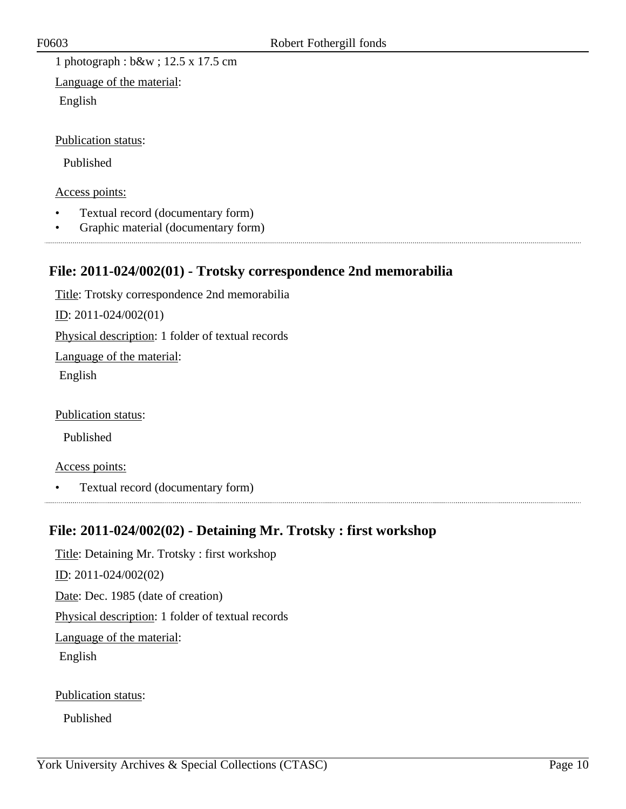1 photograph : b&w ; 12.5 x 17.5 cm

Language of the material: English

Publication status:

Published

Access points:

- Textual record (documentary form)
- Graphic material (documentary form)

## <span id="page-9-0"></span>**File: 2011-024/002(01) - Trotsky correspondence 2nd memorabilia**

Title: Trotsky correspondence 2nd memorabilia ID: 2011-024/002(01) Physical description: 1 folder of textual records Language of the material: English

Publication status:

Published

Access points:

• Textual record (documentary form)

## <span id="page-9-1"></span>**File: 2011-024/002(02) - Detaining Mr. Trotsky : first workshop**

Title: Detaining Mr. Trotsky : first workshop ID: 2011-024/002(02) Date: Dec. 1985 (date of creation) Physical description: 1 folder of textual records Language of the material: English

Publication status:

Published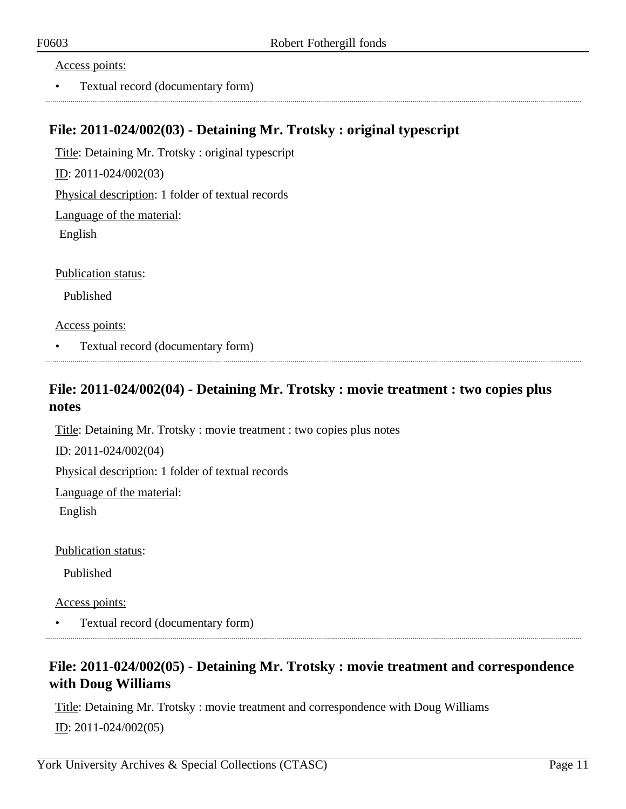#### Access points:

• Textual record (documentary form)

### <span id="page-10-0"></span>**File: 2011-024/002(03) - Detaining Mr. Trotsky : original typescript**

Title: Detaining Mr. Trotsky : original typescript

ID: 2011-024/002(03)

Physical description: 1 folder of textual records

Language of the material:

English

Publication status:

Published

Access points:

• Textual record (documentary form)

## <span id="page-10-1"></span>**File: 2011-024/002(04) - Detaining Mr. Trotsky : movie treatment : two copies plus notes**

Title: Detaining Mr. Trotsky : movie treatment : two copies plus notes

ID: 2011-024/002(04)

Physical description: 1 folder of textual records

Language of the material:

English

Publication status:

Published

Access points:

• Textual record (documentary form)

## <span id="page-10-2"></span>**File: 2011-024/002(05) - Detaining Mr. Trotsky : movie treatment and correspondence with Doug Williams**

Title: Detaining Mr. Trotsky : movie treatment and correspondence with Doug Williams ID: 2011-024/002(05)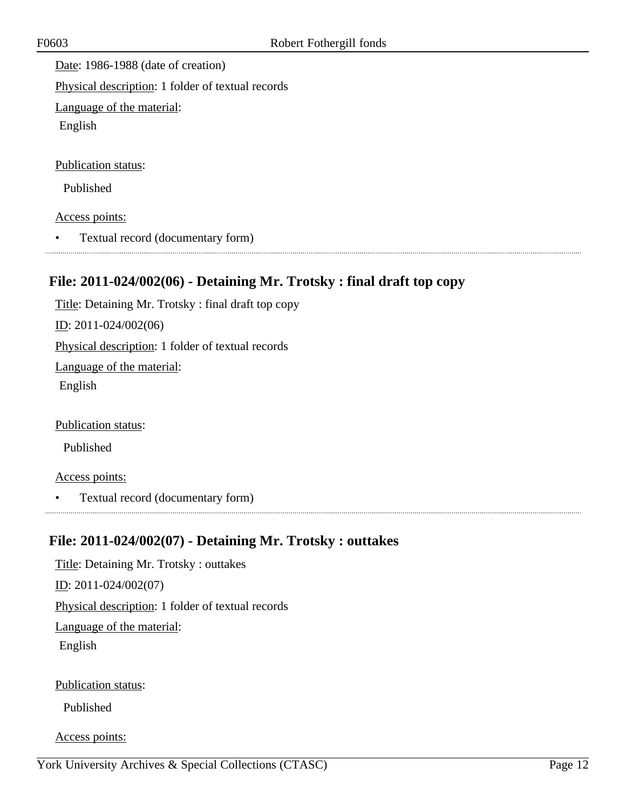Date: 1986-1988 (date of creation)

Physical description: 1 folder of textual records

Language of the material:

English

Publication status:

Published

Access points:

• Textual record (documentary form)

## <span id="page-11-0"></span>**File: 2011-024/002(06) - Detaining Mr. Trotsky : final draft top copy**

Title: Detaining Mr. Trotsky : final draft top copy ID: 2011-024/002(06) Physical description: 1 folder of textual records Language of the material: English

Publication status:

Published

Access points:

• Textual record (documentary form)

## <span id="page-11-1"></span>**File: 2011-024/002(07) - Detaining Mr. Trotsky : outtakes**

Title: Detaining Mr. Trotsky : outtakes ID: 2011-024/002(07) Physical description: 1 folder of textual records Language of the material: English Publication status:

Published

Access points: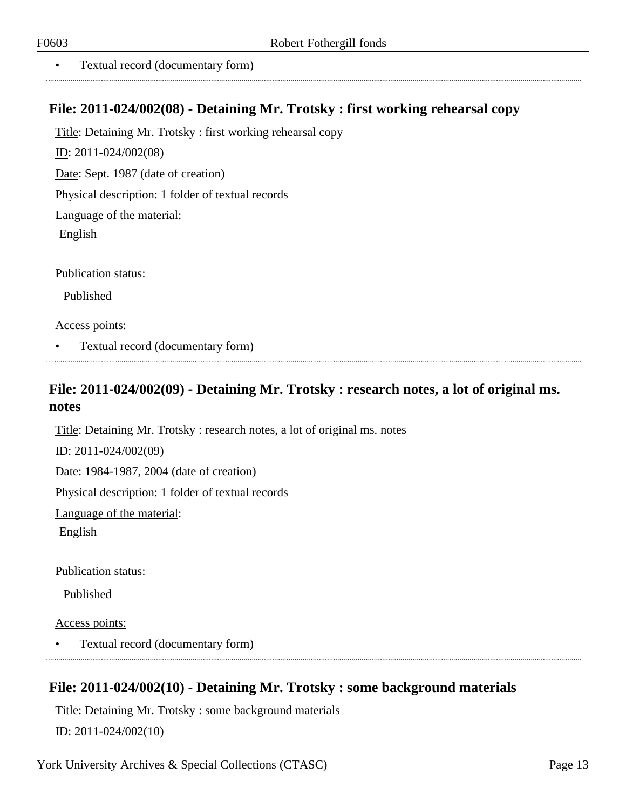• Textual record (documentary form)

#### <span id="page-12-0"></span>**File: 2011-024/002(08) - Detaining Mr. Trotsky : first working rehearsal copy**

Title: Detaining Mr. Trotsky : first working rehearsal copy ID: 2011-024/002(08) Date: Sept. 1987 (date of creation) Physical description: 1 folder of textual records

Language of the material:

English

Publication status:

Published

Access points:

• Textual record (documentary form)

## <span id="page-12-1"></span>**File: 2011-024/002(09) - Detaining Mr. Trotsky : research notes, a lot of original ms. notes**

Title: Detaining Mr. Trotsky : research notes, a lot of original ms. notes

ID: 2011-024/002(09)

Date: 1984-1987, 2004 (date of creation)

Physical description: 1 folder of textual records

Language of the material:

English

Publication status:

Published

Access points:

• Textual record (documentary form)

## <span id="page-12-2"></span>**File: 2011-024/002(10) - Detaining Mr. Trotsky : some background materials**

Title: Detaining Mr. Trotsky : some background materials ID: 2011-024/002(10)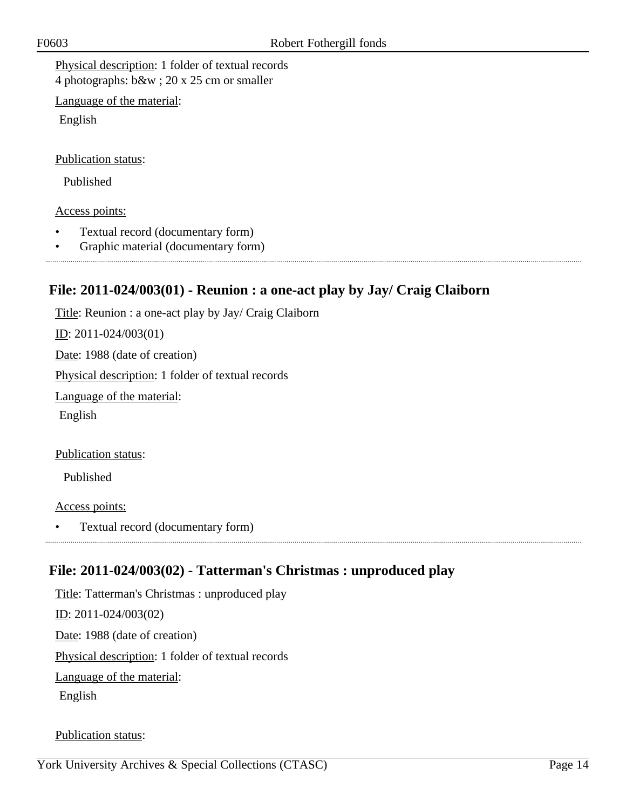Physical description: 1 folder of textual records 4 photographs: b&w ; 20 x 25 cm or smaller

Language of the material:

English

Publication status:

Published

#### Access points:

- Textual record (documentary form)
- Graphic material (documentary form)

## <span id="page-13-0"></span>**File: 2011-024/003(01) - Reunion : a one-act play by Jay/ Craig Claiborn**

Title: Reunion : a one-act play by Jay/ Craig Claiborn ID: 2011-024/003(01) Date: 1988 (date of creation) Physical description: 1 folder of textual records Language of the material: English

Publication status:

Published

Access points:

• Textual record (documentary form)

## <span id="page-13-1"></span>**File: 2011-024/003(02) - Tatterman's Christmas : unproduced play**

Title: Tatterman's Christmas : unproduced play ID: 2011-024/003(02) Date: 1988 (date of creation) Physical description: 1 folder of textual records Language of the material: English

Publication status: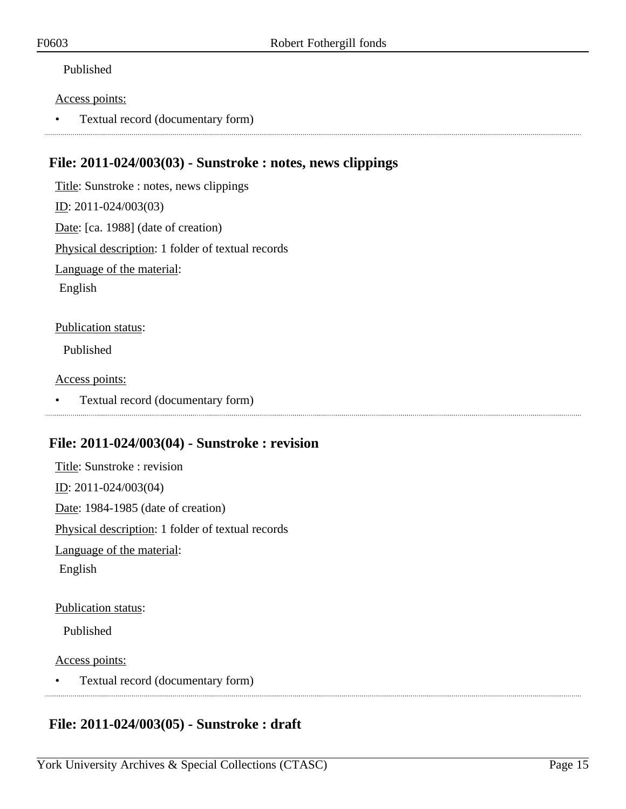#### Published

#### Access points:

• Textual record (documentary form)

#### <span id="page-14-0"></span>**File: 2011-024/003(03) - Sunstroke : notes, news clippings**

Title: Sunstroke : notes, news clippings ID: 2011-024/003(03) Date: [ca. 1988] (date of creation) Physical description: 1 folder of textual records Language of the material: English

Publication status:

Published

#### Access points:

• Textual record (documentary form)

#### <span id="page-14-1"></span>**File: 2011-024/003(04) - Sunstroke : revision**

Title: Sunstroke : revision ID: 2011-024/003(04) Date: 1984-1985 (date of creation) Physical description: 1 folder of textual records Language of the material: English

#### Publication status:

Published

#### Access points:

• Textual record (documentary form)

## <span id="page-14-2"></span>**File: 2011-024/003(05) - Sunstroke : draft**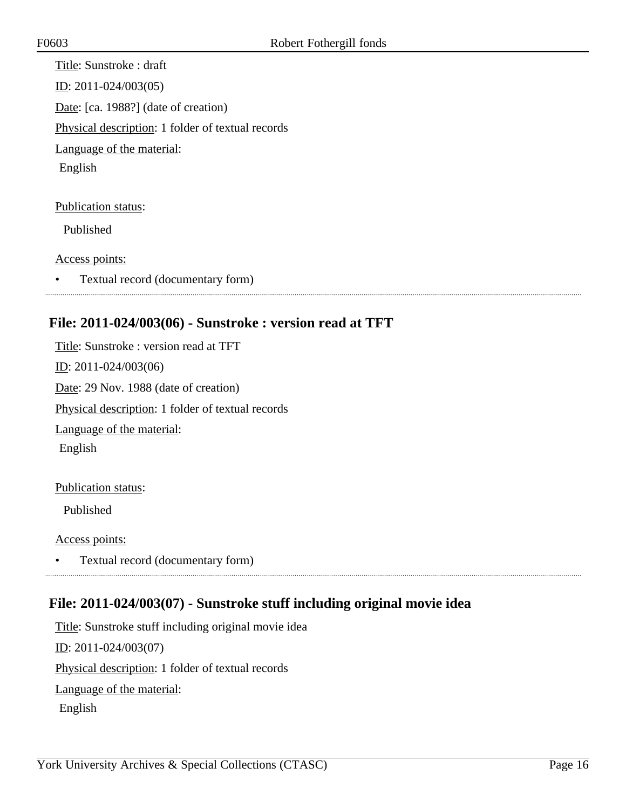Title: Sunstroke : draft ID: 2011-024/003(05) Date: [ca. 1988?] (date of creation) Physical description: 1 folder of textual records Language of the material: English Publication status:

Published

Access points:

• Textual record (documentary form)

## <span id="page-15-0"></span>**File: 2011-024/003(06) - Sunstroke : version read at TFT**

Title: Sunstroke : version read at TFT ID: 2011-024/003(06) Date: 29 Nov. 1988 (date of creation) Physical description: 1 folder of textual records Language of the material: English

#### Publication status:

Published

Access points:

• Textual record (documentary form) 

## <span id="page-15-1"></span>**File: 2011-024/003(07) - Sunstroke stuff including original movie idea**

Title: Sunstroke stuff including original movie idea ID: 2011-024/003(07) Physical description: 1 folder of textual records Language of the material: English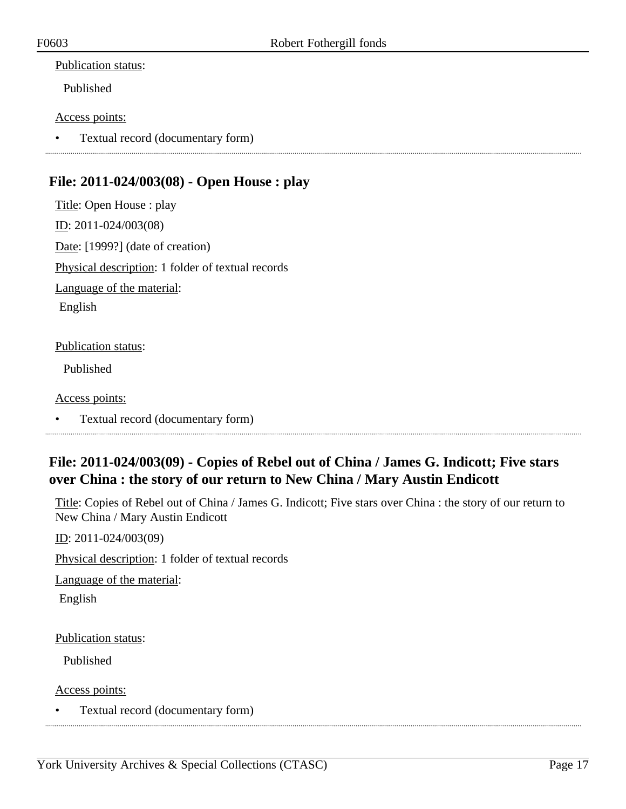#### Publication status:

Published

#### Access points:

• Textual record (documentary form)

## <span id="page-16-0"></span>**File: 2011-024/003(08) - Open House : play**

Title: Open House : play ID: 2011-024/003(08) Date: [1999?] (date of creation) Physical description: 1 folder of textual records Language of the material: English

#### Publication status:

Published

Access points:

• Textual record (documentary form)

## <span id="page-16-1"></span>**File: 2011-024/003(09) - Copies of Rebel out of China / James G. Indicott; Five stars over China : the story of our return to New China / Mary Austin Endicott**

Title: Copies of Rebel out of China / James G. Indicott; Five stars over China : the story of our return to New China / Mary Austin Endicott

ID: 2011-024/003(09)

Physical description: 1 folder of textual records

Language of the material:

English

Publication status:

Published

Access points:

• Textual record (documentary form)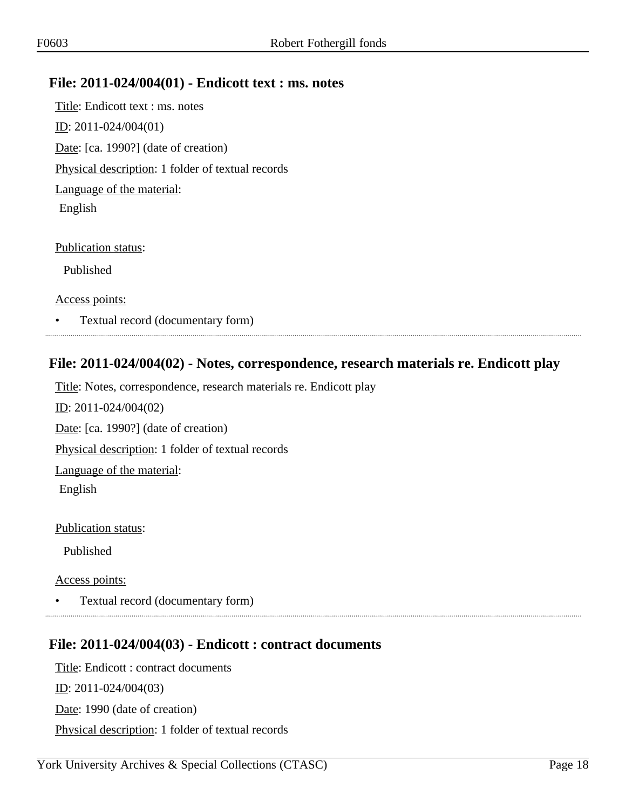#### <span id="page-17-0"></span>**File: 2011-024/004(01) - Endicott text : ms. notes**

Title: Endicott text : ms. notes ID: 2011-024/004(01) Date: [ca. 1990?] (date of creation) Physical description: 1 folder of textual records Language of the material: English

Publication status:

Published

Access points:

• Textual record (documentary form)

#### <span id="page-17-1"></span>**File: 2011-024/004(02) - Notes, correspondence, research materials re. Endicott play**

Title: Notes, correspondence, research materials re. Endicott play

ID: 2011-024/004(02) Date: [ca. 1990?] (date of creation) Physical description: 1 folder of textual records Language of the material: English

Publication status:

Published

Access points:

• Textual record (documentary form)

#### 

#### <span id="page-17-2"></span>**File: 2011-024/004(03) - Endicott : contract documents**

Title: Endicott : contract documents  $ID: 2011-024/004(03)$ Date: 1990 (date of creation) Physical description: 1 folder of textual records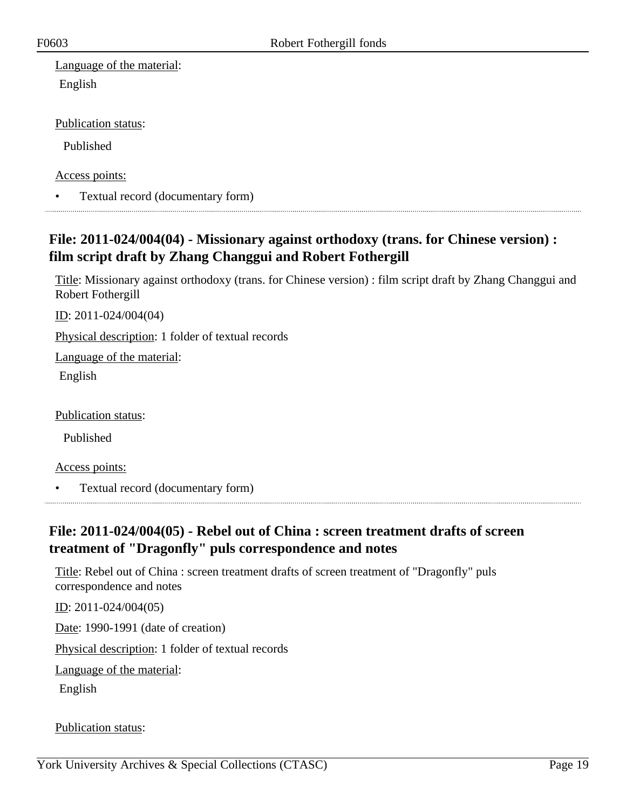Language of the material: English

Publication status:

Published

Access points:

• Textual record (documentary form)

## <span id="page-18-0"></span>**File: 2011-024/004(04) - Missionary against orthodoxy (trans. for Chinese version) : film script draft by Zhang Changgui and Robert Fothergill**

Title: Missionary against orthodoxy (trans. for Chinese version) : film script draft by Zhang Changgui and Robert Fothergill

ID: 2011-024/004(04)

Physical description: 1 folder of textual records

Language of the material:

English

Publication status:

Published

Access points:

• Textual record (documentary form)

### <span id="page-18-1"></span>**File: 2011-024/004(05) - Rebel out of China : screen treatment drafts of screen treatment of "Dragonfly" puls correspondence and notes**

Title: Rebel out of China : screen treatment drafts of screen treatment of "Dragonfly" puls correspondence and notes

ID: 2011-024/004(05)

Date: 1990-1991 (date of creation)

Physical description: 1 folder of textual records

Language of the material:

English

Publication status: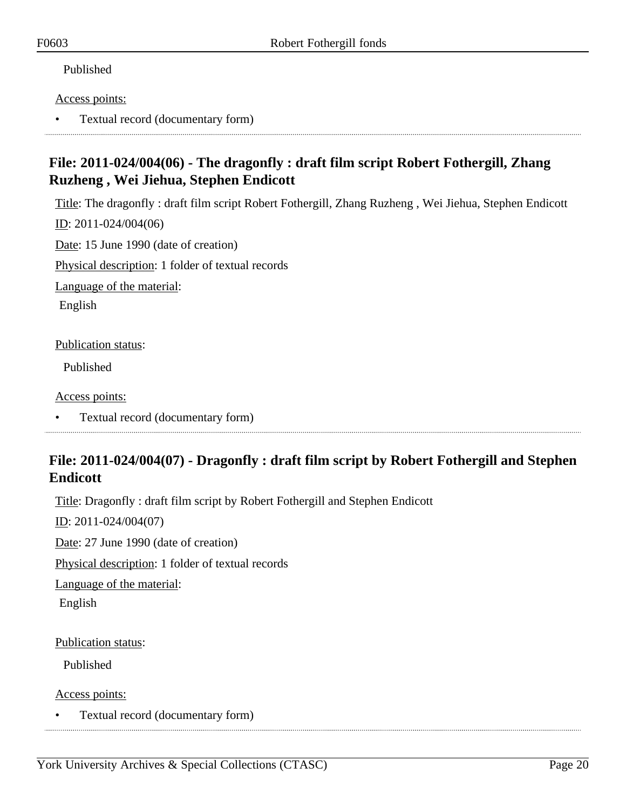#### Published

#### Access points:

• Textual record (documentary form)

## <span id="page-19-0"></span>**File: 2011-024/004(06) - The dragonfly : draft film script Robert Fothergill, Zhang Ruzheng , Wei Jiehua, Stephen Endicott**

Title: The dragonfly : draft film script Robert Fothergill, Zhang Ruzheng , Wei Jiehua, Stephen Endicott

ID: 2011-024/004(06)

Date: 15 June 1990 (date of creation)

Physical description: 1 folder of textual records

Language of the material:

English

Publication status:

Published

Access points:

• Textual record (documentary form)

## <span id="page-19-1"></span>**File: 2011-024/004(07) - Dragonfly : draft film script by Robert Fothergill and Stephen Endicott**

Title: Dragonfly : draft film script by Robert Fothergill and Stephen Endicott

ID: 2011-024/004(07)

Date: 27 June 1990 (date of creation)

Physical description: 1 folder of textual records

Language of the material:

English

Publication status:

Published

Access points:

• Textual record (documentary form)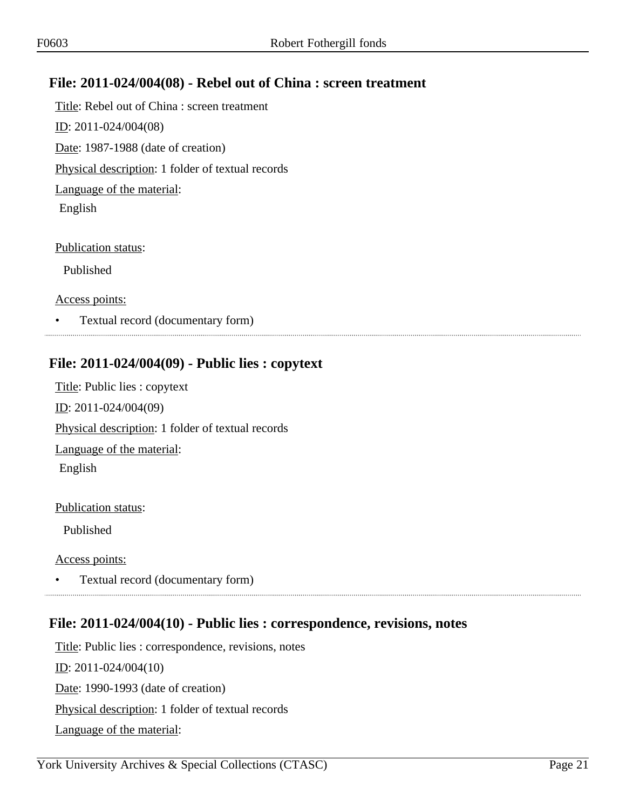## <span id="page-20-0"></span>**File: 2011-024/004(08) - Rebel out of China : screen treatment**

Title: Rebel out of China : screen treatment ID: 2011-024/004(08) Date: 1987-1988 (date of creation) Physical description: 1 folder of textual records Language of the material: English

Publication status:

Published

Access points:

• Textual record (documentary form)

#### <span id="page-20-1"></span>**File: 2011-024/004(09) - Public lies : copytext**

Title: Public lies : copytext ID: 2011-024/004(09) Physical description: 1 folder of textual records Language of the material: English

Publication status:

Published

Access points:

• Textual record (documentary form)

## <span id="page-20-2"></span>**File: 2011-024/004(10) - Public lies : correspondence, revisions, notes**

Title: Public lies : correspondence, revisions, notes ID: 2011-024/004(10) Date: 1990-1993 (date of creation) Physical description: 1 folder of textual records Language of the material: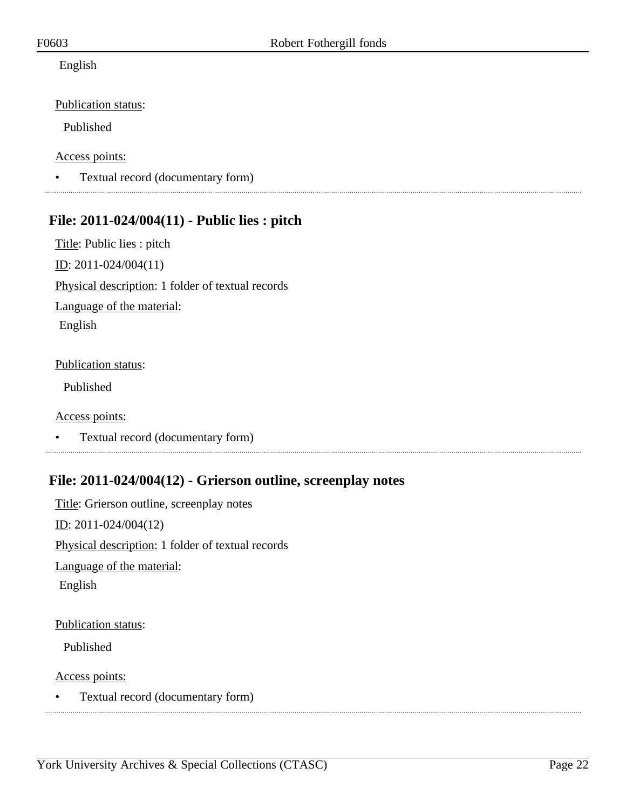#### English

#### Publication status:

Published

#### Access points:

• Textual record (documentary form)

## <span id="page-21-0"></span>**File: 2011-024/004(11) - Public lies : pitch**

Title: Public lies : pitch ID: 2011-024/004(11) Physical description: 1 folder of textual records Language of the material: English

#### Publication status:

Published

Access points:

• Textual record (documentary form)

## <span id="page-21-1"></span>**File: 2011-024/004(12) - Grierson outline, screenplay notes**

Title: Grierson outline, screenplay notes ID: 2011-024/004(12) Physical description: 1 folder of textual records Language of the material: English

#### Publication status:

Published

Access points:

• Textual record (documentary form)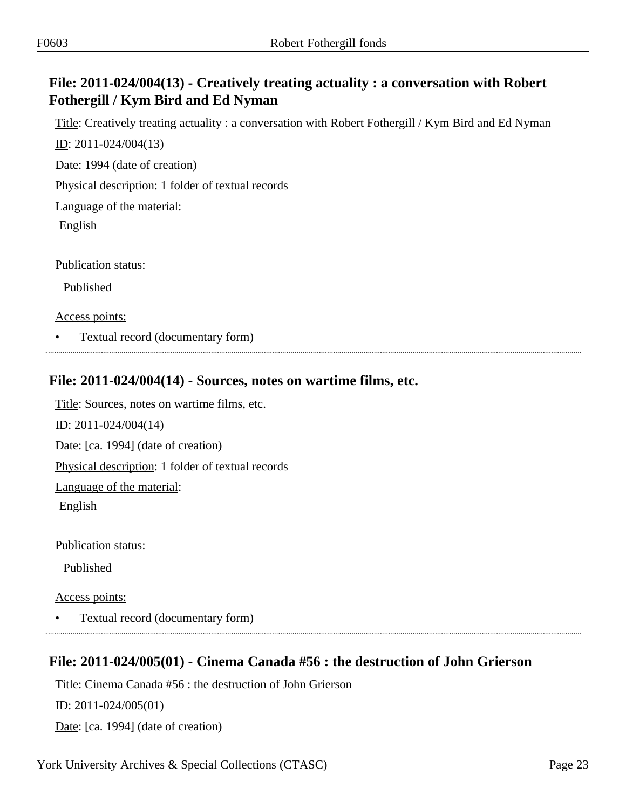## <span id="page-22-0"></span>**File: 2011-024/004(13) - Creatively treating actuality : a conversation with Robert Fothergill / Kym Bird and Ed Nyman**

Title: Creatively treating actuality : a conversation with Robert Fothergill / Kym Bird and Ed Nyman ID: 2011-024/004(13)

Date: 1994 (date of creation)

Physical description: 1 folder of textual records

Language of the material:

English

Publication status:

Published

Access points:

• Textual record (documentary form)

## <span id="page-22-1"></span>**File: 2011-024/004(14) - Sources, notes on wartime films, etc.**

Title: Sources, notes on wartime films, etc. ID: 2011-024/004(14) Date: [ca. 1994] (date of creation) Physical description: 1 folder of textual records Language of the material: English

Publication status:

Published

Access points:

• Textual record (documentary form)

## <span id="page-22-2"></span>**File: 2011-024/005(01) - Cinema Canada #56 : the destruction of John Grierson**

Title: Cinema Canada #56 : the destruction of John Grierson

ID: 2011-024/005(01)

Date: [ca. 1994] (date of creation)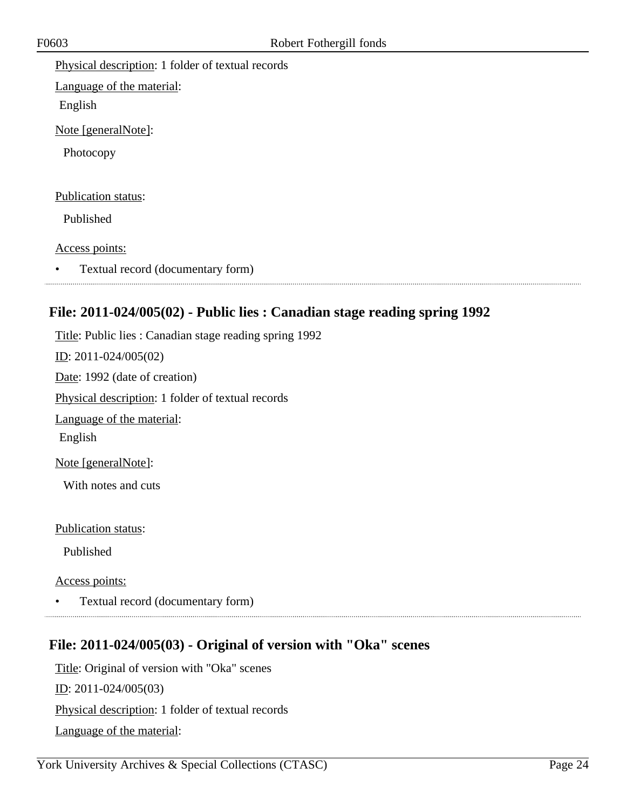Physical description: 1 folder of textual records Language of the material: English Note [generalNote]: Photocopy Publication status: Published Access points: • Textual record (documentary form)

## <span id="page-23-0"></span>**File: 2011-024/005(02) - Public lies : Canadian stage reading spring 1992**

Title: Public lies : Canadian stage reading spring 1992

ID: 2011-024/005(02) Date: 1992 (date of creation) Physical description: 1 folder of textual records Language of the material: English Note [generalNote]:

With notes and cuts

Publication status:

Published

Access points:

• Textual record (documentary form) 

## <span id="page-23-1"></span>**File: 2011-024/005(03) - Original of version with "Oka" scenes**

Title: Original of version with "Oka" scenes

ID: 2011-024/005(03)

Physical description: 1 folder of textual records

Language of the material: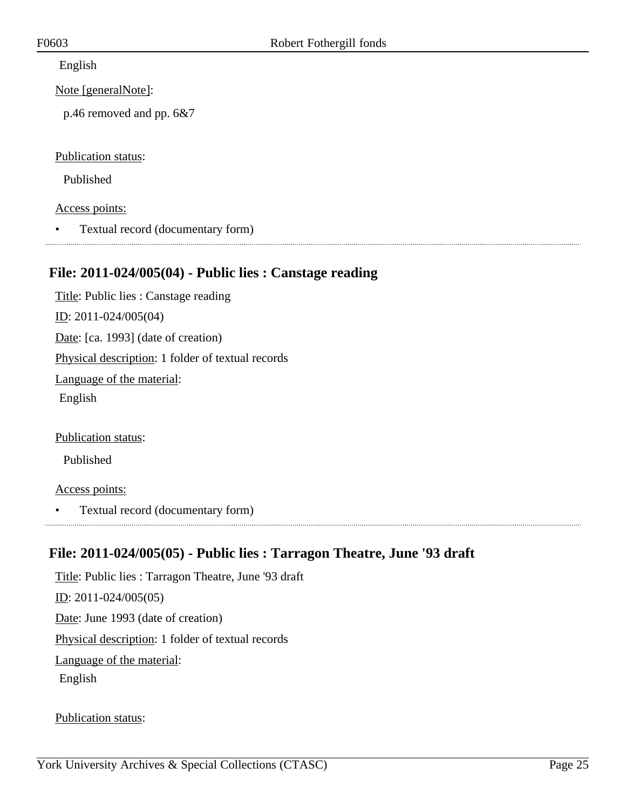English

Note [generalNote]:

p.46 removed and pp. 6&7

Publication status:

Published

Access points:

• Textual record (documentary form)

## <span id="page-24-0"></span>**File: 2011-024/005(04) - Public lies : Canstage reading**

Title: Public lies : Canstage reading ID: 2011-024/005(04) Date: [ca. 1993] (date of creation) Physical description: 1 folder of textual records Language of the material: English

Publication status:

Published

Access points:

• Textual record (documentary form)

## <span id="page-24-1"></span>**File: 2011-024/005(05) - Public lies : Tarragon Theatre, June '93 draft**

Title: Public lies : Tarragon Theatre, June '93 draft ID: 2011-024/005(05) Date: June 1993 (date of creation) Physical description: 1 folder of textual records Language of the material: English

Publication status: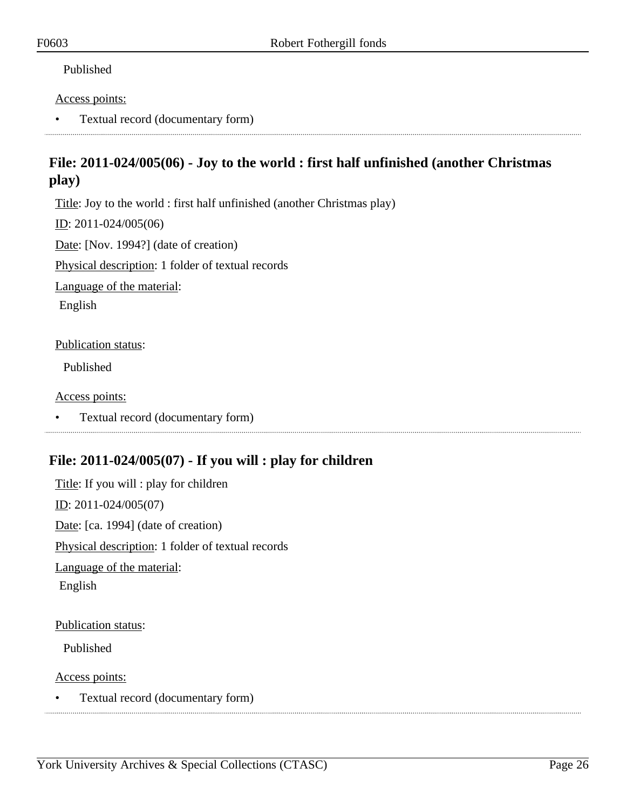#### Published

#### Access points:

• Textual record (documentary form)

## <span id="page-25-0"></span>**File: 2011-024/005(06) - Joy to the world : first half unfinished (another Christmas play)**

Title: Joy to the world : first half unfinished (another Christmas play)

ID: 2011-024/005(06)

Date: [Nov. 1994?] (date of creation)

Physical description: 1 folder of textual records

Language of the material:

English

#### Publication status:

Published

#### Access points:

• Textual record (documentary form)

## <span id="page-25-1"></span>**File: 2011-024/005(07) - If you will : play for children**

Title: If you will : play for children ID: 2011-024/005(07) Date: [ca. 1994] (date of creation) Physical description: 1 folder of textual records Language of the material: English

#### Publication status:

Published

Access points:

• Textual record (documentary form)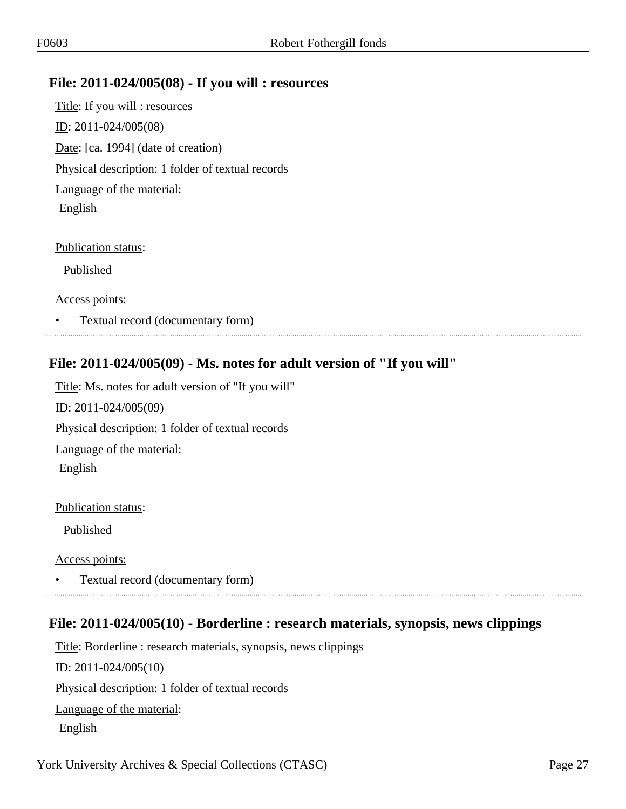#### <span id="page-26-0"></span>**File: 2011-024/005(08) - If you will : resources**

Title: If you will : resources ID: 2011-024/005(08) Date: [ca. 1994] (date of creation) Physical description: 1 folder of textual records Language of the material: English

Publication status:

Published

Access points:

• Textual record (documentary form) 

## <span id="page-26-1"></span>**File: 2011-024/005(09) - Ms. notes for adult version of "If you will"**

Title: Ms. notes for adult version of "If you will" ID: 2011-024/005(09) Physical description: 1 folder of textual records Language of the material: English

Publication status:

Published

Access points:

• Textual record (documentary form)

## <span id="page-26-2"></span>**File: 2011-024/005(10) - Borderline : research materials, synopsis, news clippings**

Title: Borderline : research materials, synopsis, news clippings ID: 2011-024/005(10) Physical description: 1 folder of textual records Language of the material: English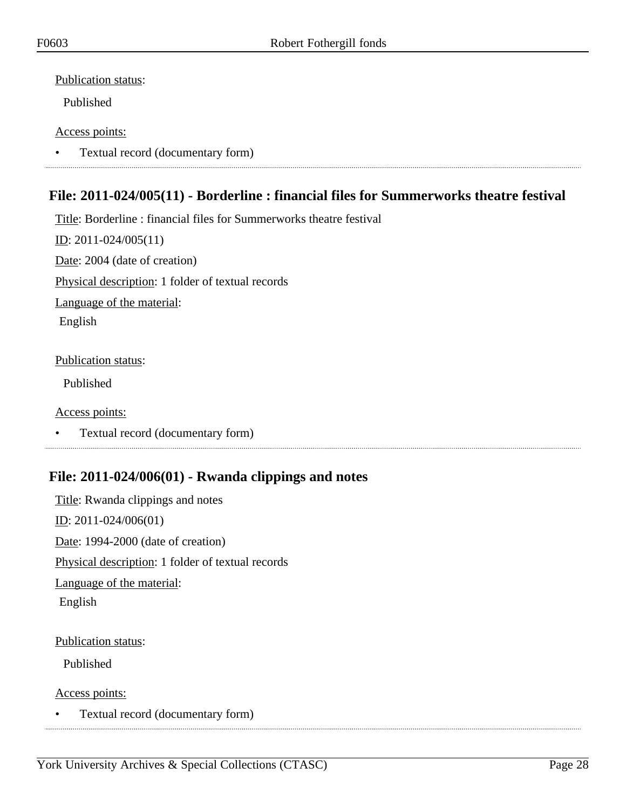#### Publication status:

Published

#### Access points:

• Textual record (documentary form)

## <span id="page-27-0"></span>**File: 2011-024/005(11) - Borderline : financial files for Summerworks theatre festival**

Title: Borderline : financial files for Summerworks theatre festival  $ID: 2011-024/005(11)$ Date: 2004 (date of creation)

Physical description: 1 folder of textual records

Language of the material:

English

#### Publication status:

Published

#### Access points:

• Textual record (documentary form)

## <span id="page-27-1"></span>**File: 2011-024/006(01) - Rwanda clippings and notes**

Title: Rwanda clippings and notes ID: 2011-024/006(01) Date: 1994-2000 (date of creation) Physical description: 1 folder of textual records Language of the material: English

#### Publication status:

Published

Access points:

• Textual record (documentary form)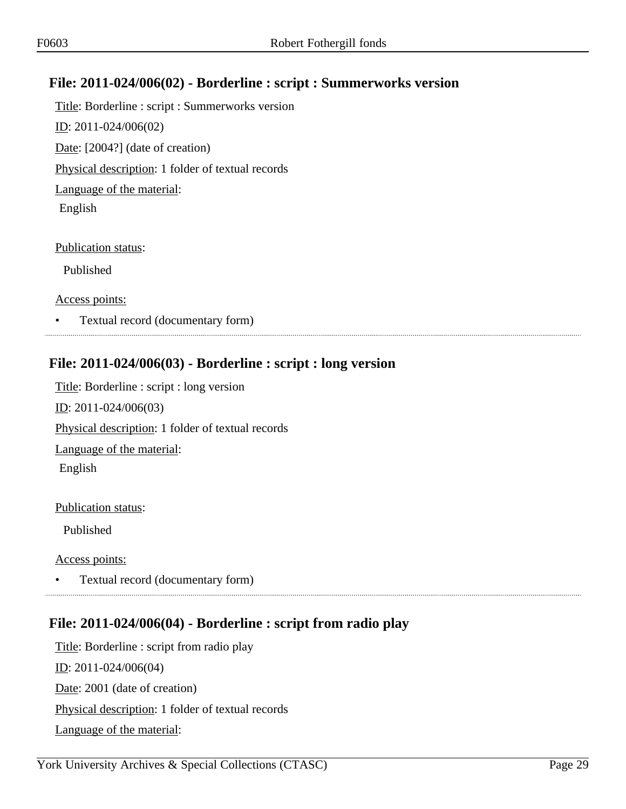## <span id="page-28-0"></span>**File: 2011-024/006(02) - Borderline : script : Summerworks version**

Title: Borderline : script : Summerworks version ID: 2011-024/006(02) Date: [2004?] (date of creation) Physical description: 1 folder of textual records Language of the material: English

Publication status:

Published

Access points:

• Textual record (documentary form) 

## <span id="page-28-1"></span>**File: 2011-024/006(03) - Borderline : script : long version**

Title: Borderline : script : long version ID: 2011-024/006(03) Physical description: 1 folder of textual records Language of the material: English

Publication status:

Published

Access points:

• Textual record (documentary form) 

## <span id="page-28-2"></span>**File: 2011-024/006(04) - Borderline : script from radio play**

Title: Borderline : script from radio play ID: 2011-024/006(04) Date: 2001 (date of creation) Physical description: 1 folder of textual records Language of the material: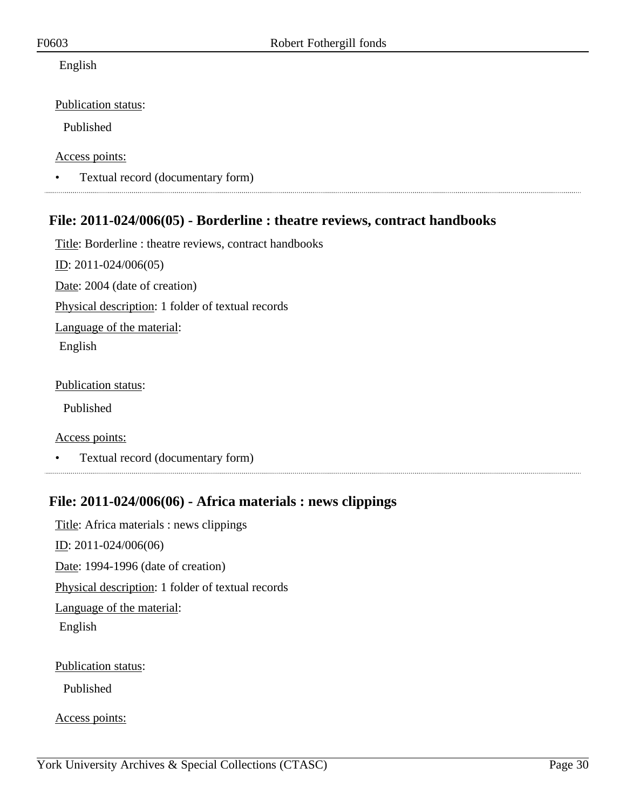#### English

Publication status:

Published

Access points:

• Textual record (documentary form)

## <span id="page-29-0"></span>**File: 2011-024/006(05) - Borderline : theatre reviews, contract handbooks**

Title: Borderline : theatre reviews, contract handbooks ID: 2011-024/006(05) Date: 2004 (date of creation) Physical description: 1 folder of textual records Language of the material: English

Publication status:

Published

Access points:

• Textual record (documentary form)

## <span id="page-29-1"></span>**File: 2011-024/006(06) - Africa materials : news clippings**

Title: Africa materials : news clippings ID: 2011-024/006(06) Date: 1994-1996 (date of creation) Physical description: 1 folder of textual records Language of the material: English Publication status:

Published

Access points: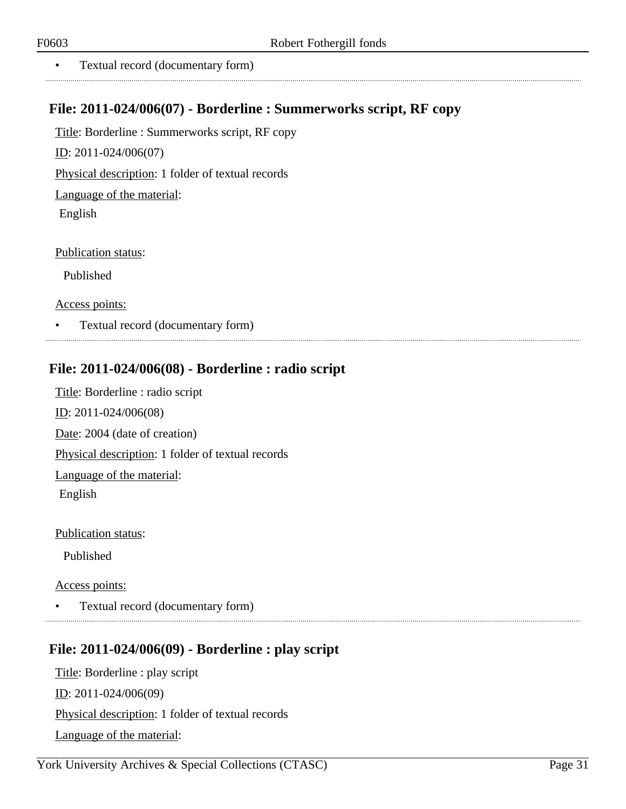• Textual record (documentary form)

## <span id="page-30-0"></span>**File: 2011-024/006(07) - Borderline : Summerworks script, RF copy**

Title: Borderline : Summerworks script, RF copy

ID: 2011-024/006(07)

Physical description: 1 folder of textual records

Language of the material:

English

Publication status:

Published

Access points:

• Textual record (documentary form)

## <span id="page-30-1"></span>**File: 2011-024/006(08) - Borderline : radio script**

Title: Borderline : radio script ID: 2011-024/006(08) Date: 2004 (date of creation) Physical description: 1 folder of textual records Language of the material: English

Publication status:

Published

Access points:

• Textual record (documentary form)

## <span id="page-30-2"></span>**File: 2011-024/006(09) - Borderline : play script**

Title: Borderline : play script ID: 2011-024/006(09) Physical description: 1 folder of textual records Language of the material: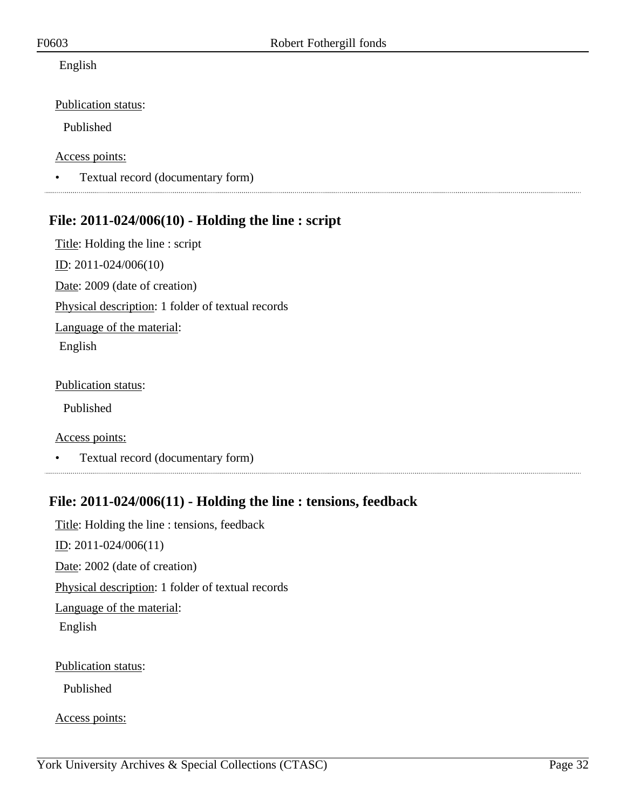#### English

Publication status:

Published

#### Access points:

• Textual record (documentary form)

## <span id="page-31-0"></span>**File: 2011-024/006(10) - Holding the line : script**

Title: Holding the line : script ID: 2011-024/006(10) Date: 2009 (date of creation) Physical description: 1 folder of textual records Language of the material: English

#### Publication status:

Published

Access points:

• Textual record (documentary form)

## <span id="page-31-1"></span>**File: 2011-024/006(11) - Holding the line : tensions, feedback**

Title: Holding the line : tensions, feedback ID: 2011-024/006(11) Date: 2002 (date of creation) Physical description: 1 folder of textual records Language of the material: English Publication status:

Published

Access points: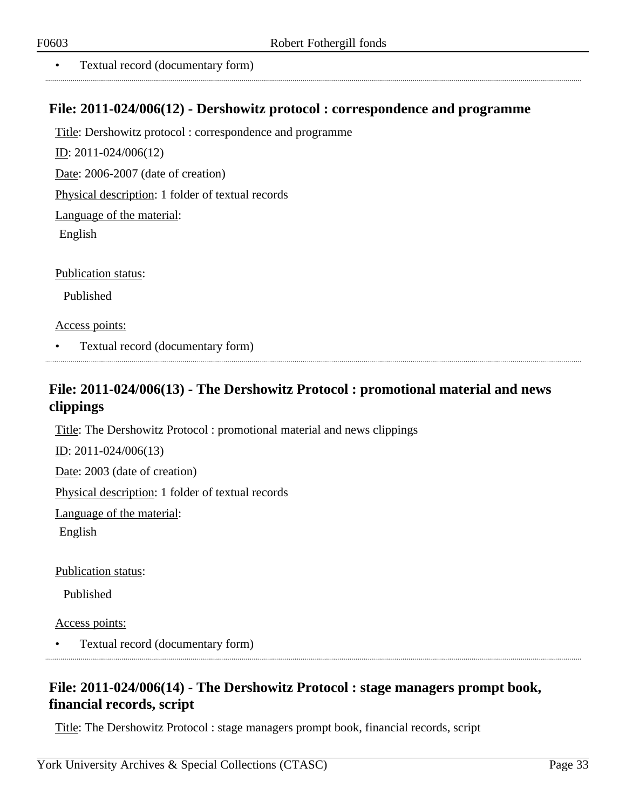• Textual record (documentary form)

#### <span id="page-32-0"></span>**File: 2011-024/006(12) - Dershowitz protocol : correspondence and programme**

Title: Dershowitz protocol : correspondence and programme

ID: 2011-024/006(12)

Date: 2006-2007 (date of creation)

Physical description: 1 folder of textual records

Language of the material:

English

Publication status:

Published

Access points:

• Textual record (documentary form)

## <span id="page-32-1"></span>**File: 2011-024/006(13) - The Dershowitz Protocol : promotional material and news clippings**

Title: The Dershowitz Protocol : promotional material and news clippings

ID: 2011-024/006(13)

Date: 2003 (date of creation)

Physical description: 1 folder of textual records

Language of the material:

English

Publication status:

Published

Access points:

• Textual record (documentary form)

## <span id="page-32-2"></span>**File: 2011-024/006(14) - The Dershowitz Protocol : stage managers prompt book, financial records, script**

Title: The Dershowitz Protocol : stage managers prompt book, financial records, script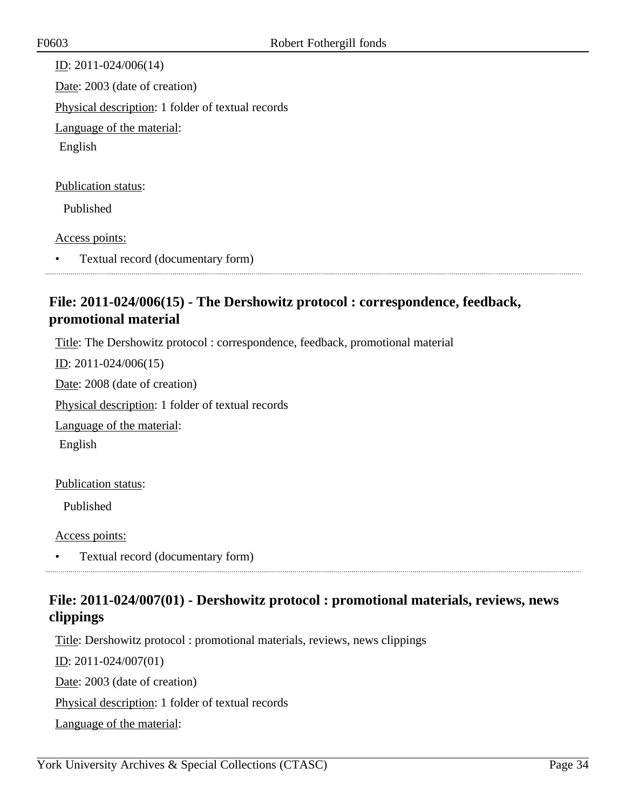ID: 2011-024/006(14) Date: 2003 (date of creation) Physical description: 1 folder of textual records Language of the material: English Publication status: Published

Access points:

• Textual record (documentary form)

## <span id="page-33-0"></span>**File: 2011-024/006(15) - The Dershowitz protocol : correspondence, feedback, promotional material**

Title: The Dershowitz protocol : correspondence, feedback, promotional material

ID: 2011-024/006(15)

Date: 2008 (date of creation) Physical description: 1 folder of textual records

Language of the material:

English

#### Publication status:

Published

Access points:

• Textual record (documentary form)

## <span id="page-33-1"></span>**File: 2011-024/007(01) - Dershowitz protocol : promotional materials, reviews, news clippings**

Title: Dershowitz protocol : promotional materials, reviews, news clippings

ID: 2011-024/007(01)

Date: 2003 (date of creation)

Physical description: 1 folder of textual records

Language of the material: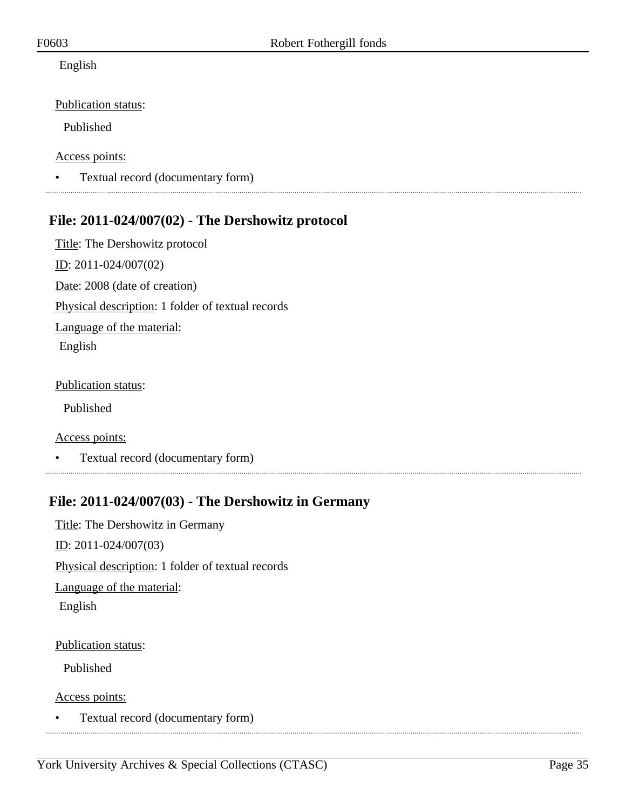#### English

Publication status:

Published

#### Access points:

• Textual record (documentary form)

## <span id="page-34-0"></span>**File: 2011-024/007(02) - The Dershowitz protocol**

Title: The Dershowitz protocol ID: 2011-024/007(02) Date: 2008 (date of creation) Physical description: 1 folder of textual records Language of the material: English

#### Publication status:

Published

Access points:

• Textual record (documentary form)

## <span id="page-34-1"></span>**File: 2011-024/007(03) - The Dershowitz in Germany**

Title: The Dershowitz in Germany ID: 2011-024/007(03) Physical description: 1 folder of textual records Language of the material: English

Publication status:

Published

Access points:

• Textual record (documentary form)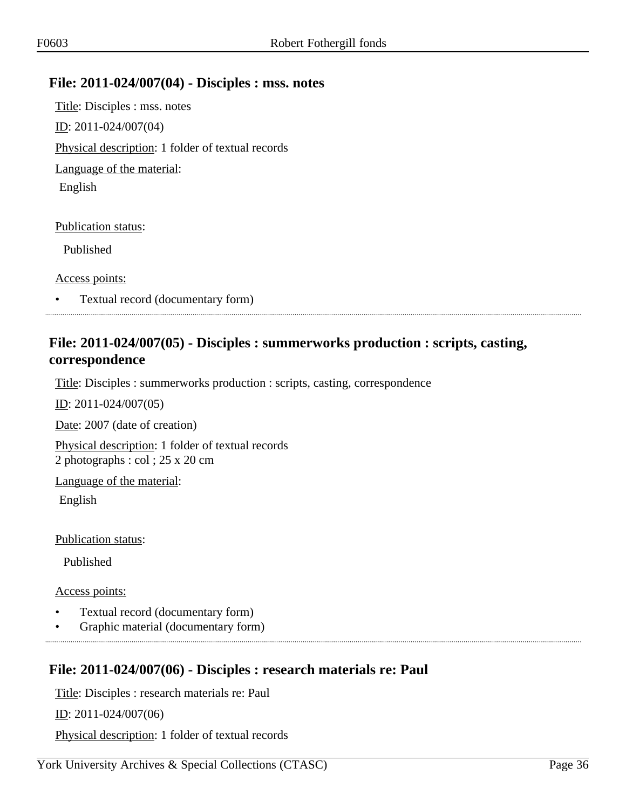#### <span id="page-35-0"></span>**File: 2011-024/007(04) - Disciples : mss. notes**

Title: Disciples : mss. notes ID: 2011-024/007(04) Physical description: 1 folder of textual records Language of the material: English

Publication status:

Published

Access points:

• Textual record (documentary form)

## <span id="page-35-1"></span>**File: 2011-024/007(05) - Disciples : summerworks production : scripts, casting, correspondence**

Title: Disciples : summerworks production : scripts, casting, correspondence

ID: 2011-024/007(05)

Date: 2007 (date of creation)

Physical description: 1 folder of textual records 2 photographs : col ; 25 x 20 cm

Language of the material:

English

Publication status:

Published

Access points:

- Textual record (documentary form)
- Graphic material (documentary form)

## <span id="page-35-2"></span>**File: 2011-024/007(06) - Disciples : research materials re: Paul**

Title: Disciples : research materials re: Paul

ID: 2011-024/007(06)

Physical description: 1 folder of textual records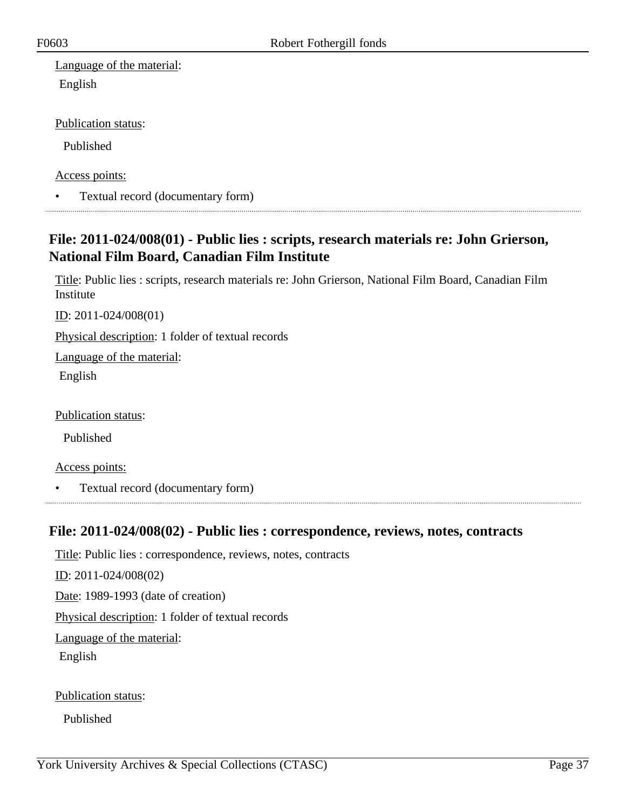Language of the material: English

Publication status:

Published

Access points:

• Textual record (documentary form)

## <span id="page-36-0"></span>**File: 2011-024/008(01) - Public lies : scripts, research materials re: John Grierson, National Film Board, Canadian Film Institute**

Title: Public lies : scripts, research materials re: John Grierson, National Film Board, Canadian Film Institute

ID: 2011-024/008(01)

Physical description: 1 folder of textual records

Language of the material:

English

Publication status:

Published

Access points:

• Textual record (documentary form)

#### <span id="page-36-1"></span>**File: 2011-024/008(02) - Public lies : correspondence, reviews, notes, contracts**

Title: Public lies : correspondence, reviews, notes, contracts

ID: 2011-024/008(02)

Date: 1989-1993 (date of creation)

Physical description: 1 folder of textual records

Language of the material:

English

Publication status:

Published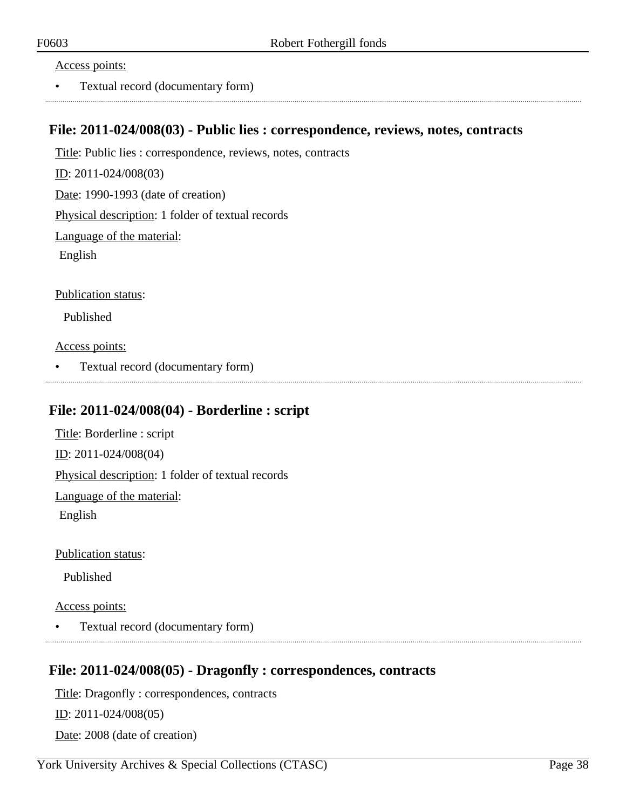#### Access points:

• Textual record (documentary form)

#### <span id="page-37-0"></span>**File: 2011-024/008(03) - Public lies : correspondence, reviews, notes, contracts**

Title: Public lies : correspondence, reviews, notes, contracts

ID: 2011-024/008(03)

Date: 1990-1993 (date of creation)

Physical description: 1 folder of textual records

Language of the material:

English

Publication status:

Published

Access points:

• Textual record (documentary form)

#### <span id="page-37-1"></span>**File: 2011-024/008(04) - Borderline : script**

Title: Borderline : script ID: 2011-024/008(04) Physical description: 1 folder of textual records

Language of the material:

English

Publication status:

Published

Access points:

• Textual record (documentary form)

#### <span id="page-37-2"></span>**File: 2011-024/008(05) - Dragonfly : correspondences, contracts**

Title: Dragonfly : correspondences, contracts

ID: 2011-024/008(05)

Date: 2008 (date of creation)